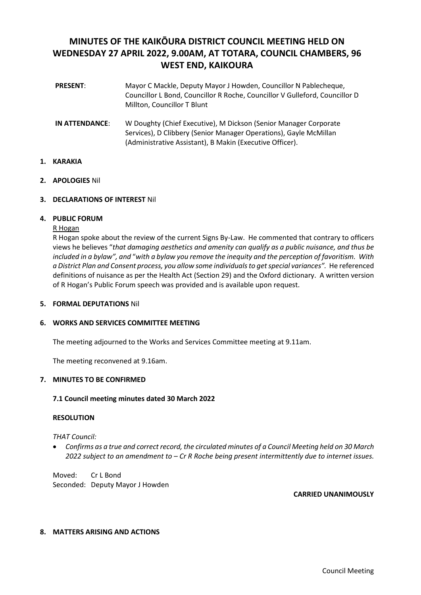# **MINUTES OF THE KAIKŌURA DISTRICT COUNCIL MEETING HELD ON WEDNESDAY 27 APRIL 2022, 9.00AM, AT TOTARA, COUNCIL CHAMBERS, 96 WEST END, KAIKOURA**

- **PRESENT**: Mayor C Mackle, Deputy Mayor J Howden, Councillor N Pablecheque, Councillor L Bond, Councillor R Roche, Councillor V Gulleford, Councillor D Millton, Councillor T Blunt
- **IN ATTENDANCE**: W Doughty (Chief Executive), M Dickson (Senior Manager Corporate Services), D Clibbery (Senior Manager Operations), Gayle McMillan (Administrative Assistant), B Makin (Executive Officer).

## **1. KARAKIA**

**2. APOLOGIES** Nil

## **3. DECLARATIONS OF INTEREST** Nil

## **4. PUBLIC FORUM**

## R Hogan

R Hogan spoke about the review of the current Signs By-Law. He commented that contrary to officers views he believes "*that damaging aesthetics and amenity can qualify as a public nuisance, and thus be included in a bylaw", and* "*with a bylaw you remove the inequity and the perception of favoritism. With a District Plan and Consent process, you allow some individuals to get special variances".* He referenced definitions of nuisance as per the Health Act (Section 29) and the Oxford dictionary. A written version of R Hogan's Public Forum speech was provided and is available upon request.

## **5. FORMAL DEPUTATIONS** Nil

## **6. WORKS AND SERVICES COMMITTEE MEETING**

The meeting adjourned to the Works and Services Committee meeting at 9.11am.

The meeting reconvened at 9.16am.

## **7. MINUTES TO BE CONFIRMED**

## **7.1 Council meeting minutes dated 30 March 2022**

## **RESOLUTION**

## *THAT Council:*

• *Confirms as a true and correct record, the circulated minutes of a Council Meeting held on 30 March 2022 subject to an amendment to – Cr R Roche being present intermittently due to internet issues.*

Moved: Cr L Bond Seconded: Deputy Mayor J Howden

**CARRIED UNANIMOUSLY**

## **8. MATTERS ARISING AND ACTIONS**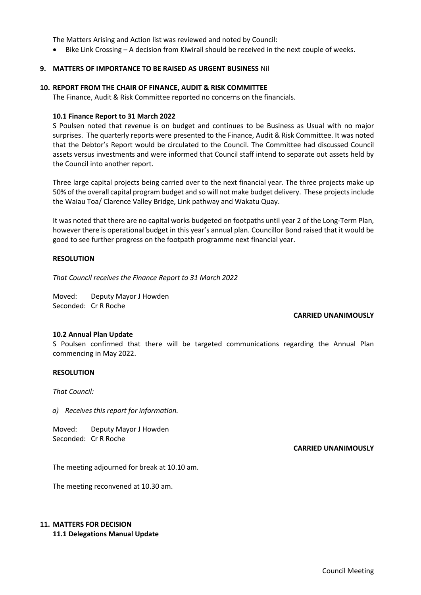The Matters Arising and Action list was reviewed and noted by Council:

• Bike Link Crossing – A decision from Kiwirail should be received in the next couple of weeks.

## **9. MATTERS OF IMPORTANCE TO BE RAISED AS URGENT BUSINESS** Nil

## **10. REPORT FROM THE CHAIR OF FINANCE, AUDIT & RISK COMMITTEE**

The Finance, Audit & Risk Committee reported no concerns on the financials.

## **10.1 Finance Report to 31 March 2022**

S Poulsen noted that revenue is on budget and continues to be Business as Usual with no major surprises. The quarterly reports were presented to the Finance, Audit & Risk Committee. It was noted that the Debtor's Report would be circulated to the Council. The Committee had discussed Council assets versus investments and were informed that Council staff intend to separate out assets held by the Council into another report.

Three large capital projects being carried over to the next financial year. The three projects make up 50% of the overall capital program budget and so will not make budget delivery. These projects include the Waiau Toa/ Clarence Valley Bridge, Link pathway and Wakatu Quay.

It was noted that there are no capital works budgeted on footpaths until year 2 of the Long-Term Plan, however there is operational budget in this year's annual plan. Councillor Bond raised that it would be good to see further progress on the footpath programme next financial year.

## **RESOLUTION**

*That Council receives the Finance Report to 31 March 2022*

Moved: Deputy Mayor J Howden Seconded: Cr R Roche

## **CARRIED UNANIMOUSLY**

## **10.2 Annual Plan Update**

S Poulsen confirmed that there will be targeted communications regarding the Annual Plan commencing in May 2022.

## **RESOLUTION**

*That Council:*

*a) Receives this report for information.*

Moved: Deputy Mayor J Howden Seconded: Cr R Roche

## **CARRIED UNANIMOUSLY**

The meeting adjourned for break at 10.10 am.

The meeting reconvened at 10.30 am.

# **11. MATTERS FOR DECISION**

**11.1 Delegations Manual Update**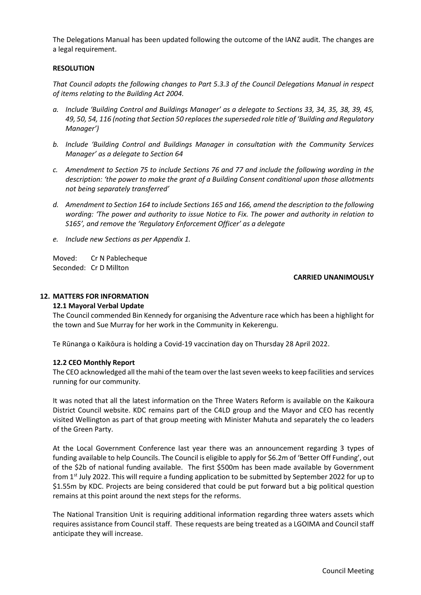The Delegations Manual has been updated following the outcome of the IANZ audit. The changes are a legal requirement.

## **RESOLUTION**

*That Council adopts the following changes to Part 5.3.3 of the Council Delegations Manual in respect of items relating to the Building Act 2004.* 

- *a. Include 'Building Control and Buildings Manager' as a delegate to Sections 33, 34, 35, 38, 39, 45, 49, 50, 54, 116 (noting that Section 50 replaces the superseded role title of 'Building and Regulatory Manager')*
- *b. Include 'Building Control and Buildings Manager in consultation with the Community Services Manager' as a delegate to Section 64*
- *c. Amendment to Section 75 to include Sections 76 and 77 and include the following wording in the description: 'the power to make the grant of a Building Consent conditional upon those allotments not being separately transferred'*
- *d. Amendment to Section 164 to include Sections 165 and 166, amend the description to the following wording: 'The power and authority to issue Notice to Fix. The power and authority in relation to S165', and remove the 'Regulatory Enforcement Officer' as a delegate*
- *e. Include new Sections as per Appendix 1.*

Moved: Cr N Pablecheque Seconded: Cr D Millton

## **CARRIED UNANIMOUSLY**

## **12. MATTERS FOR INFORMATION**

## **12.1 Mayoral Verbal Update**

The Council commended Bin Kennedy for organising the Adventure race which has been a highlight for the town and Sue Murray for her work in the Community in Kekerengu.

Te Rūnanga o Kaikōura is holding a Covid-19 vaccination day on Thursday 28 April 2022.

## **12.2 CEO Monthly Report**

The CEO acknowledged all the mahi of the team over the last seven weeks to keep facilities and services running for our community.

It was noted that all the latest information on the Three Waters Reform is available on the Kaikoura District Council website. KDC remains part of the C4LD group and the Mayor and CEO has recently visited Wellington as part of that group meeting with Minister Mahuta and separately the co leaders of the Green Party.

At the Local Government Conference last year there was an announcement regarding 3 types of funding available to help Councils. The Council is eligible to apply for \$6.2m of 'Better Off Funding', out of the \$2b of national funding available. The first \$500m has been made available by Government from 1<sup>st</sup> July 2022. This will require a funding application to be submitted by September 2022 for up to \$1.55m by KDC. Projects are being considered that could be put forward but a big political question remains at this point around the next steps for the reforms.

The National Transition Unit is requiring additional information regarding three waters assets which requires assistance from Council staff. These requests are being treated as a LGOIMA and Council staff anticipate they will increase.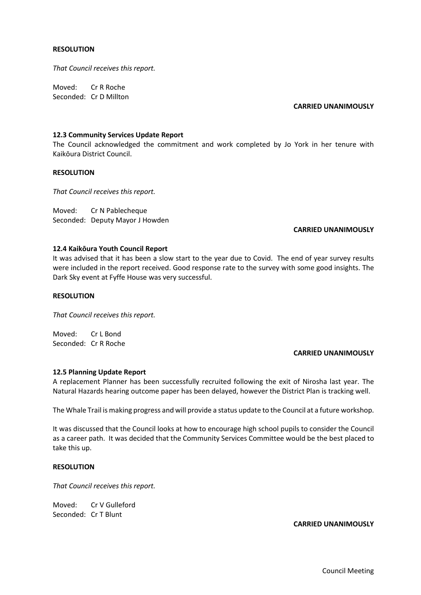## **RESOLUTION**

*That Council receives this report.*

Moved: Cr R Roche Seconded: Cr D Millton

#### **CARRIED UNANIMOUSLY**

## **12.3 Community Services Update Report**

The Council acknowledged the commitment and work completed by Jo York in her tenure with Kaikōura District Council.

## **RESOLUTION**

*That Council receives this report.* 

Moved: Cr N Pablecheque Seconded: Deputy Mayor J Howden

## **CARRIED UNANIMOUSLY**

## **12.4 Kaikōura Youth Council Report**

It was advised that it has been a slow start to the year due to Covid. The end of year survey results were included in the report received. Good response rate to the survey with some good insights. The Dark Sky event at Fyffe House was very successful.

## **RESOLUTION**

*That Council receives this report.* 

Moved: Cr L Bond Seconded: Cr R Roche

## **CARRIED UNANIMOUSLY**

## **12.5 Planning Update Report**

A replacement Planner has been successfully recruited following the exit of Nirosha last year. The Natural Hazards hearing outcome paper has been delayed, however the District Plan is tracking well.

The Whale Trail is making progress and will provide a status update to the Council at a future workshop.

It was discussed that the Council looks at how to encourage high school pupils to consider the Council as a career path. It was decided that the Community Services Committee would be the best placed to take this up.

## **RESOLUTION**

*That Council receives this report.* 

Moved: Cr V Gulleford Seconded: Cr T Blunt

## **CARRIED UNANIMOUSLY**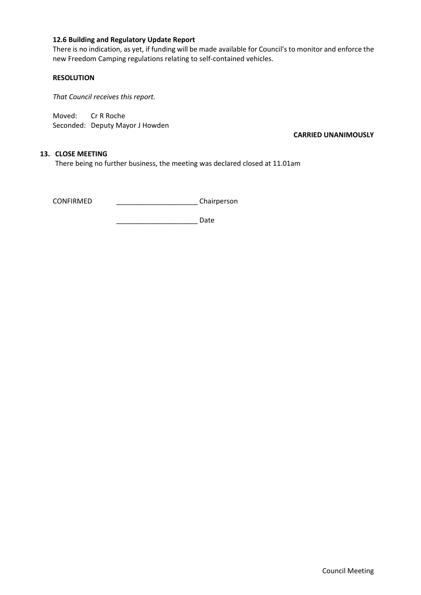## **12.6 Building and Regulatory Update Report**

There is no indication, as yet, if funding will be made available for Council's to monitor and enforce the new Freedom Camping regulations relating to self-contained vehicles.

## **RESOLUTION**

*That Council receives this report.* 

Moved: Cr R Roche Seconded: Deputy Mayor J Howden

**CARRIED UNANIMOUSLY**

## **13. CLOSE MEETING**

There being no further business, the meeting was declared closed at 11.01am

CONFIRMED \_\_\_\_\_\_\_\_\_\_\_\_\_\_\_\_\_\_\_\_\_ Chairperson

\_\_\_\_\_\_\_\_\_\_\_\_\_\_\_\_\_\_\_\_\_ Date